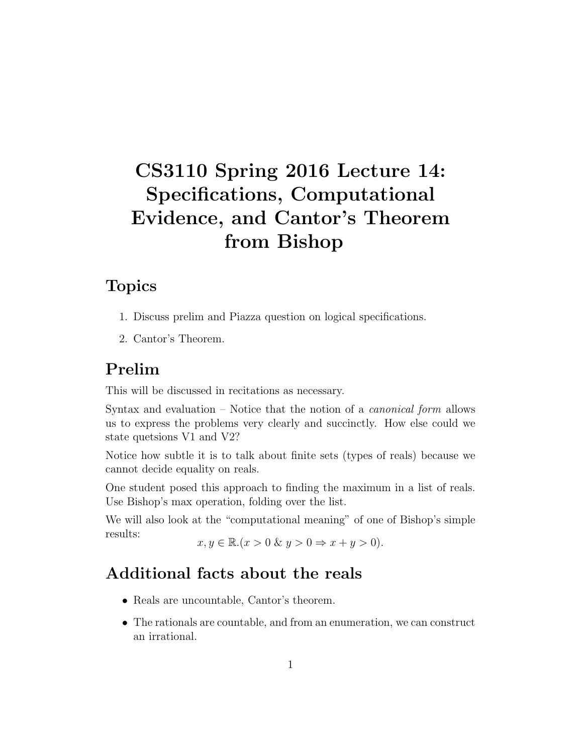# CS3110 Spring 2016 Lecture 14: Specifications, Computational Evidence, and Cantor's Theorem from Bishop

## Topics

- 1. Discuss prelim and Piazza question on logical specifications.
- 2. Cantor's Theorem.

## Prelim

This will be discussed in recitations as necessary.

Syntax and evaluation – Notice that the notion of a *canonical form* allows us to express the problems very clearly and succinctly. How else could we state quetsions V1 and V2?

Notice how subtle it is to talk about finite sets (types of reals) because we cannot decide equality on reals.

One student posed this approach to finding the maximum in a list of reals. Use Bishop's max operation, folding over the list.

We will also look at the "computational meaning" of one of Bishop's simple results:  $x, y \in \mathbb{R}.$   $(x > 0 \& y > 0 \Rightarrow x + y > 0).$ 

#### Additional facts about the reals

- Reals are uncountable, Cantor's theorem.
- The rationals are countable, and from an enumeration, we can construct an irrational.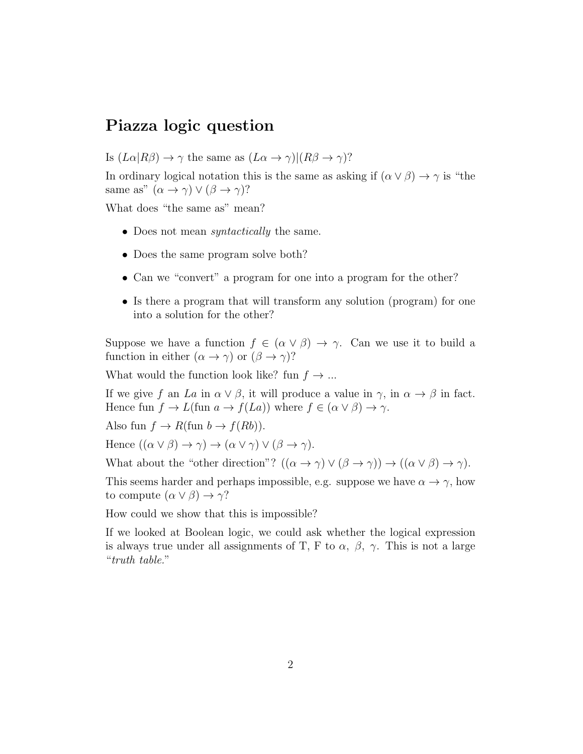#### Piazza logic question

Is  $(L\alpha|R\beta) \rightarrow \gamma$  the same as  $(L\alpha \rightarrow \gamma)|(R\beta \rightarrow \gamma)$ ?

In ordinary logical notation this is the same as asking if  $(\alpha \vee \beta) \rightarrow \gamma$  is "the same as"  $(\alpha \to \gamma) \vee (\beta \to \gamma)$ ?

What does "the same as" mean?

- Does not mean *syntactically* the same.
- Does the same program solve both?
- Can we "convert" a program for one into a program for the other?
- Is there a program that will transform any solution (program) for one into a solution for the other?

Suppose we have a function  $f \in (\alpha \vee \beta) \rightarrow \gamma$ . Can we use it to build a function in either  $(\alpha \to \gamma)$  or  $(\beta \to \gamma)$ ?

What would the function look like? fun  $f \to \dots$ 

If we give f an La in  $\alpha \vee \beta$ , it will produce a value in  $\gamma$ , in  $\alpha \rightarrow \beta$  in fact. Hence fun  $f \to L$ (fun  $a \to f(La)$ ) where  $f \in (\alpha \lor \beta) \to \gamma$ .

Also fun  $f \to R(\text{fun } b \to f(Rb)).$ 

Hence  $((\alpha \vee \beta) \rightarrow \gamma) \rightarrow (\alpha \vee \gamma) \vee (\beta \rightarrow \gamma)$ .

What about the "other direction"?  $((\alpha \to \gamma) \lor (\beta \to \gamma)) \to ((\alpha \lor \beta) \to \gamma)$ .

This seems harder and perhaps impossible, e.g. suppose we have  $\alpha \to \gamma$ , how to compute  $(\alpha \vee \beta) \rightarrow \gamma$ ?

How could we show that this is impossible?

If we looked at Boolean logic, we could ask whether the logical expression is always true under all assignments of T, F to  $\alpha$ ,  $\beta$ ,  $\gamma$ . This is not a large "truth table."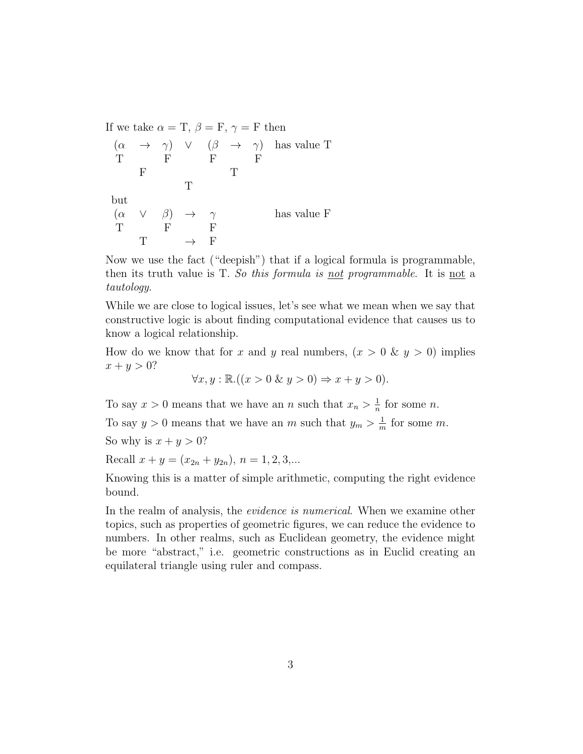If we take  $\alpha = \text{T}, \beta = \text{F}, \gamma = \text{F}$  then

$$
\begin{array}{cccc}\n(\alpha & \rightarrow & \gamma) & \vee & (\beta & \rightarrow & \gamma) & \text{has value T} \\
T & F & F & F & F \\
 & F & T & & \\
\text{but} & & & \\
(\alpha & \vee & \beta) & \rightarrow & \gamma & \text{has value F} \\
T & F & F & & \\
 & T & \rightarrow & F\n\end{array}
$$

Now we use the fact ("deepish") that if a logical formula is programmable, then its truth value is T. So this formula is not programmable. It is not a tautology.

While we are close to logical issues, let's see what we mean when we say that constructive logic is about finding computational evidence that causes us to know a logical relationship.

How do we know that for x and y real numbers,  $(x > 0 \& y > 0)$  implies  $x + y > 0?$ 

$$
\forall x, y : \mathbb{R}.((x > 0 \& y > 0) \Rightarrow x + y > 0).
$$

To say  $x > 0$  means that we have an n such that  $x_n > \frac{1}{n}$  $\frac{1}{n}$  for some *n*.

To say  $y > 0$  means that we have an m such that  $y_m > \frac{1}{m}$  $\frac{1}{m}$  for some m.

So why is  $x + y > 0$ ?

Recall  $x + y = (x_{2n} + y_{2n}), n = 1, 2, 3,...$ 

Knowing this is a matter of simple arithmetic, computing the right evidence bound.

In the realm of analysis, the *evidence is numerical*. When we examine other topics, such as properties of geometric figures, we can reduce the evidence to numbers. In other realms, such as Euclidean geometry, the evidence might be more "abstract," i.e. geometric constructions as in Euclid creating an equilateral triangle using ruler and compass.